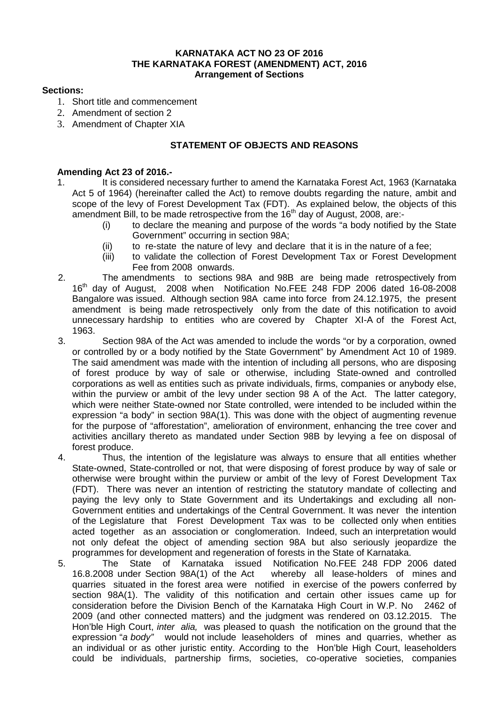### **KARNATAKA ACT NO 23 OF 2016 THE KARNATAKA FOREST (AMENDMENT) ACT, 2016 Arrangement of Sections**

### **Sections:**

- 1. Short title and commencement
- 2. Amendment of section 2
- 3. Amendment of Chapter XIA

# **STATEMENT OF OBJECTS AND REASONS**

## **Amending Act 23 of 2016.-**

- 1. It is considered necessary further to amend the Karnataka Forest Act, 1963 (Karnataka Act 5 of 1964) (hereinafter called the Act) to remove doubts regarding the nature, ambit and scope of the levy of Forest Development Tax (FDT). As explained below, the objects of this amendment Bill, to be made retrospective from the 16<sup>th</sup> day of August, 2008, are:-
	- (i) to declare the meaning and purpose of the words "a body notified by the State Government" occurring in section 98A;
	- (ii) to re-state the nature of levy and declare that it is in the nature of a fee;
	- (iii) to validate the collection of Forest Development Tax or Forest Development Fee from 2008 onwards.
- 2. The amendments to sections 98A and 98B are being made retrospectively from 16th day of August, 2008 when Notification No.FEE 248 FDP 2006 dated 16-08-2008 Bangalore was issued. Although section 98A came into force from 24.12.1975, the present amendment is being made retrospectively only from the date of this notification to avoid unnecessary hardship to entities who are covered by Chapter XI-A of the Forest Act, 1963.
- 3. Section 98A of the Act was amended to include the words "or by a corporation, owned or controlled by or a body notified by the State Government" by Amendment Act 10 of 1989. The said amendment was made with the intention of including all persons, who are disposing of forest produce by way of sale or otherwise, including State-owned and controlled corporations as well as entities such as private individuals, firms, companies or anybody else, within the purview or ambit of the levy under section 98 A of the Act. The latter category, which were neither State-owned nor State controlled, were intended to be included within the expression "a body" in section 98A(1). This was done with the object of augmenting revenue for the purpose of "afforestation", amelioration of environment, enhancing the tree cover and activities ancillary thereto as mandated under Section 98B by levying a fee on disposal of forest produce.
- 4. Thus, the intention of the legislature was always to ensure that all entities whether State-owned, State-controlled or not, that were disposing of forest produce by way of sale or otherwise were brought within the purview or ambit of the levy of Forest Development Tax (FDT). There was never an intention of restricting the statutory mandate of collecting and paying the levy only to State Government and its Undertakings and excluding all non-Government entities and undertakings of the Central Government. It was never the intention of the Legislature that Forest Development Tax was to be collected only when entities acted together as an association or conglomeration. Indeed, such an interpretation would not only defeat the object of amending section 98A but also seriously jeopardize the programmes for development and regeneration of forests in the State of Karnataka.
- 5. The State of Karnataka issued Notification No.FEE 248 FDP 2006 dated whereby all lease-holders of mines and quarries situated in the forest area were notified in exercise of the powers conferred by section 98A(1). The validity of this notification and certain other issues came up for consideration before the Division Bench of the Karnataka High Court in W.P. No 2462 of 2009 (and other connected matters) and the judgment was rendered on 03.12.2015. The Hon'ble High Court, *inter alia,* was pleased to quash the notification on the ground that the expression "*a body"* would not include leaseholders of mines and quarries, whether as an individual or as other juristic entity. According to the Hon'ble High Court, leaseholders could be individuals, partnership firms, societies, co-operative societies, companies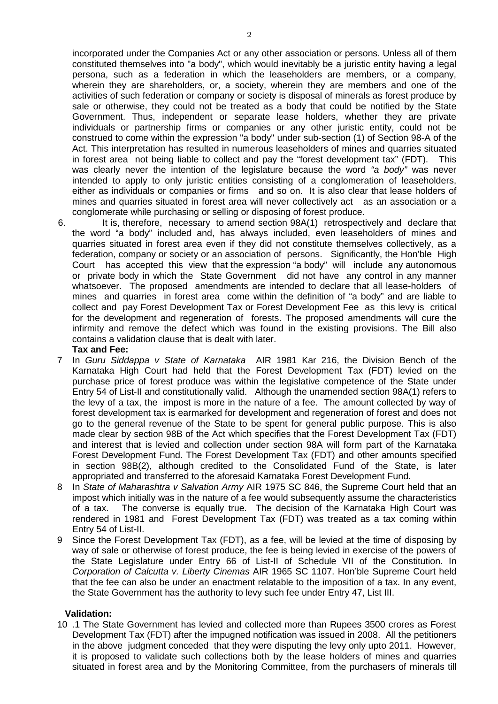incorporated under the Companies Act or any other association or persons. Unless all of them constituted themselves into "a body", which would inevitably be a juristic entity having a legal persona, such as a federation in which the leaseholders are members, or a company, wherein they are shareholders, or, a society, wherein they are members and one of the activities of such federation or company or society is disposal of minerals as forest produce by sale or otherwise, they could not be treated as a body that could be notified by the State Government. Thus, independent or separate lease holders, whether they are private individuals or partnership firms or companies or any other juristic entity, could not be construed to come within the expression "a body" under sub-section (1) of Section 98-A of the Act. This interpretation has resulted in numerous leaseholders of mines and quarries situated in forest area not being liable to collect and pay the "forest development tax" (FDT). This was clearly never the intention of the legislature because the word *"a body"* was never intended to apply to only juristic entities consisting of a conglomeration of leaseholders, either as individuals or companies or firms and so on. It is also clear that lease holders of mines and quarries situated in forest area will never collectively act as an association or a conglomerate while purchasing or selling or disposing of forest produce.

- 6. It is, therefore, necessary to amend section 98A(1) retrospectively and declare that the word "a body" included and, has always included, even leaseholders of mines and quarries situated in forest area even if they did not constitute themselves collectively, as a federation, company or society or an association of persons. Significantly, the Hon'ble High Court has accepted this view that the expression "a body" will include any autonomous or private body in which the State Government did not have any control in any manner whatsoever. The proposed amendments are intended to declare that all lease-holders of mines and quarries in forest area come within the definition of "a body" and are liable to collect and pay Forest Development Tax or Forest Development Fee as this levy is critical for the development and regeneration of forests. The proposed amendments will cure the infirmity and remove the defect which was found in the existing provisions. The Bill also contains a validation clause that is dealt with later. **Tax and Fee:**
- 7 In *Guru Siddappa v State of Karnataka* AIR 1981 Kar 216, the Division Bench of the Karnataka High Court had held that the Forest Development Tax (FDT) levied on the purchase price of forest produce was within the legislative competence of the State under Entry 54 of List-II and constitutionally valid. Although the unamended section 98A(1) refers to the levy of a tax, the impost is more in the nature of a fee. The amount collected by way of forest development tax is earmarked for development and regeneration of forest and does not go to the general revenue of the State to be spent for general public purpose. This is also made clear by section 98B of the Act which specifies that the Forest Development Tax (FDT) and interest that is levied and collection under section 98A will form part of the Karnataka Forest Development Fund. The Forest Development Tax (FDT) and other amounts specified in section 98B(2), although credited to the Consolidated Fund of the State, is later appropriated and transferred to the aforesaid Karnataka Forest Development Fund.
- 8 In *State of Maharashtra v Salvation Army* AIR 1975 SC 846, the Supreme Court held that an impost which initially was in the nature of a fee would subsequently assume the characteristics of a tax. The converse is equally true. The decision of the Karnataka High Court was rendered in 1981 and Forest Development Tax (FDT) was treated as a tax coming within Entry 54 of List-II.
- 9 Since the Forest Development Tax (FDT), as a fee, will be levied at the time of disposing by way of sale or otherwise of forest produce, the fee is being levied in exercise of the powers of the State Legislature under Entry 66 of List-II of Schedule VII of the Constitution. In *Corporation of Calcutta v. Liberty Cinemas* AIR 1965 SC 1107. Hon'ble Supreme Court held that the fee can also be under an enactment relatable to the imposition of a tax. In any event, the State Government has the authority to levy such fee under Entry 47, List III.

#### **Validation:**

10 .1 The State Government has levied and collected more than Rupees 3500 crores as Forest Development Tax (FDT) after the impugned notification was issued in 2008. All the petitioners in the above judgment conceded that they were disputing the levy only upto 2011. However, it is proposed to validate such collections both by the lease holders of mines and quarries situated in forest area and by the Monitoring Committee, from the purchasers of minerals till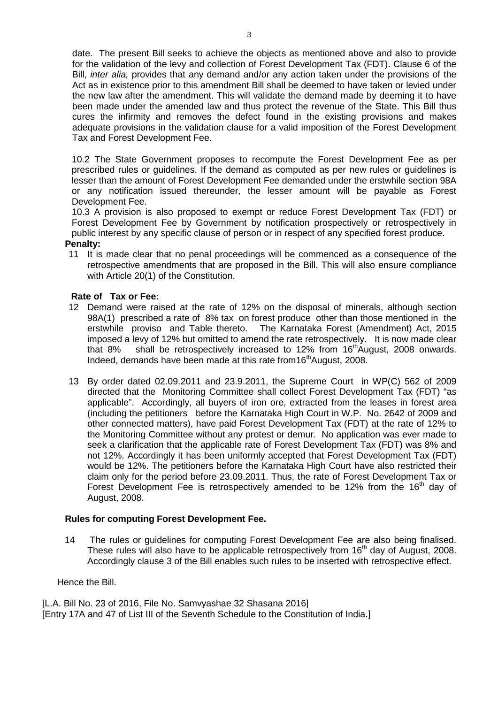date. The present Bill seeks to achieve the objects as mentioned above and also to provide for the validation of the levy and collection of Forest Development Tax (FDT). Clause 6 of the Bill, *inter alia,* provides that any demand and/or any action taken under the provisions of the Act as in existence prior to this amendment Bill shall be deemed to have taken or levied under the new law after the amendment. This will validate the demand made by deeming it to have been made under the amended law and thus protect the revenue of the State. This Bill thus cures the infirmity and removes the defect found in the existing provisions and makes adequate provisions in the validation clause for a valid imposition of the Forest Development Tax and Forest Development Fee.

10.2 The State Government proposes to recompute the Forest Development Fee as per prescribed rules or guidelines. If the demand as computed as per new rules or guidelines is lesser than the amount of Forest Development Fee demanded under the erstwhile section 98A or any notification issued thereunder, the lesser amount will be payable as Forest Development Fee.

10.3 A provision is also proposed to exempt or reduce Forest Development Tax (FDT) or Forest Development Fee by Government by notification prospectively or retrospectively in public interest by any specific clause of person or in respect of any specified forest produce.

### **Penalty:**

11 It is made clear that no penal proceedings will be commenced as a consequence of the retrospective amendments that are proposed in the Bill. This will also ensure compliance with Article 20(1) of the Constitution.

### **Rate of Tax or Fee:**

- 12 Demand were raised at the rate of 12% on the disposal of minerals, although section 98A(1) prescribed a rate of 8% tax on forest produce other than those mentioned in the erstwhile proviso and Table thereto. The Karnataka Forest (Amendment) Act, 2015 imposed a levy of 12% but omitted to amend the rate retrospectively. It is now made clear that 8% shall be retrospectively increased to 12% from  $16<sup>th</sup>$ August, 2008 onwards. Indeed, demands have been made at this rate from16<sup>th</sup>August, 2008.
- 13 By order dated 02.09.2011 and 23.9.2011, the Supreme Court in WP(C) 562 of 2009 directed that the Monitoring Committee shall collect Forest Development Tax (FDT) "as applicable". Accordingly, all buyers of iron ore, extracted from the leases in forest area (including the petitioners before the Karnataka High Court in W.P. No. 2642 of 2009 and other connected matters), have paid Forest Development Tax (FDT) at the rate of 12% to the Monitoring Committee without any protest or demur. No application was ever made to seek a clarification that the applicable rate of Forest Development Tax (FDT) was 8% and not 12%. Accordingly it has been uniformly accepted that Forest Development Tax (FDT) would be 12%. The petitioners before the Karnataka High Court have also restricted their claim only for the period before 23.09.2011. Thus, the rate of Forest Development Tax or Forest Development Fee is retrospectively amended to be 12% from the 16<sup>th</sup> day of August, 2008.

## **Rules for computing Forest Development Fee.**

14 The rules or guidelines for computing Forest Development Fee are also being finalised. These rules will also have to be applicable retrospectively from 16<sup>th</sup> day of August, 2008. Accordingly clause 3 of the Bill enables such rules to be inserted with retrospective effect.

Hence the Bill.

[L.A. Bill No. 23 of 2016, File No. Samvyashae 32 Shasana 2016] [Entry 17A and 47 of List III of the Seventh Schedule to the Constitution of India.]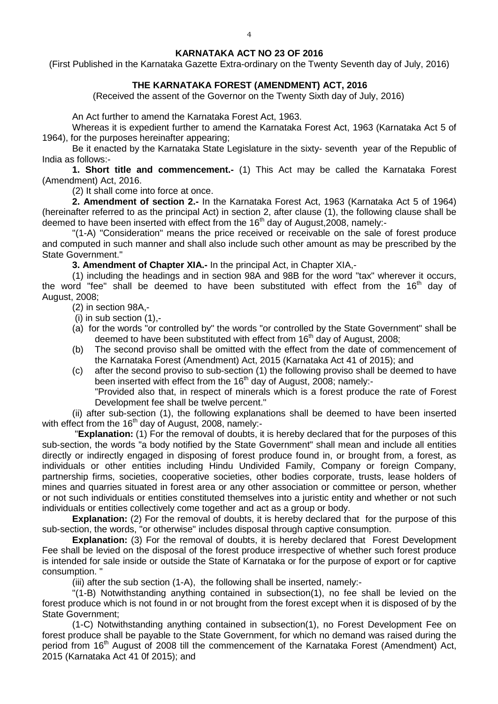#### **KARNATAKA ACT NO 23 OF 2016**

(First Published in the Karnataka Gazette Extra-ordinary on the Twenty Seventh day of July, 2016)

# **THE KARNATAKA FOREST (AMENDMENT) ACT, 2016**

(Received the assent of the Governor on the Twenty Sixth day of July, 2016)

An Act further to amend the Karnataka Forest Act, 1963.

Whereas it is expedient further to amend the Karnataka Forest Act, 1963 (Karnataka Act 5 of 1964), for the purposes hereinafter appearing;

Be it enacted by the Karnataka State Legislature in the sixty- seventh year of the Republic of India as follows:-

**1. Short title and commencement.-** (1) This Act may be called the Karnataka Forest (Amendment) Act, 2016.

(2) It shall come into force at once.

**2. Amendment of section 2.-** In the Karnataka Forest Act, 1963 (Karnataka Act 5 of 1964) (hereinafter referred to as the principal Act) in section 2, after clause (1), the following clause shall be deemed to have been inserted with effect from the  $16<sup>th</sup>$  day of August, 2008, namely:-

"(1-A) "Consideration" means the price received or receivable on the sale of forest produce and computed in such manner and shall also include such other amount as may be prescribed by the State Government."

**3. Amendment of Chapter XIA.-** In the principal Act, in Chapter XIA,-

(1) including the headings and in section 98A and 98B for the word "tax" wherever it occurs, the word "fee" shall be deemed to have been substituted with effect from the  $16<sup>th</sup>$  day of August, 2008;

# (2) in section 98A,-

(i) in sub section (1),-

- (a) for the words "or controlled by" the words "or controlled by the State Government" shall be deemed to have been substituted with effect from 16<sup>th</sup> day of August, 2008;
- (b) The second proviso shall be omitted with the effect from the date of commencement of the Karnataka Forest (Amendment) Act, 2015 (Karnataka Act 41 of 2015); and
- (c) after the second proviso to sub-section (1) the following proviso shall be deemed to have been inserted with effect from the  $16<sup>th</sup>$  day of August, 2008; namely:-

"Provided also that, in respect of minerals which is a forest produce the rate of Forest Development fee shall be twelve percent."

(ii) after sub-section (1), the following explanations shall be deemed to have been inserted with effect from the  $16<sup>th</sup>$  day of August, 2008, namely:-

"**Explanation:** (1) For the removal of doubts, it is hereby declared that for the purposes of this sub-section, the words "a body notified by the State Government" shall mean and include all entities directly or indirectly engaged in disposing of forest produce found in, or brought from, a forest, as individuals or other entities including Hindu Undivided Family, Company or foreign Company, partnership firms, societies, cooperative societies, other bodies corporate, trusts, lease holders of mines and quarries situated in forest area or any other association or committee or person, whether or not such individuals or entities constituted themselves into a juristic entity and whether or not such individuals or entities collectively come together and act as a group or body.

**Explanation:** (2) For the removal of doubts, it is hereby declared that for the purpose of this sub-section, the words, "or otherwise" includes disposal through captive consumption.

**Explanation:** (3) For the removal of doubts, it is hereby declared that Forest Development Fee shall be levied on the disposal of the forest produce irrespective of whether such forest produce is intended for sale inside or outside the State of Karnataka or for the purpose of export or for captive consumption. "

(iii) after the sub section (1-A), the following shall be inserted, namely:-

"(1-B) Notwithstanding anything contained in subsection(1), no fee shall be levied on the forest produce which is not found in or not brought from the forest except when it is disposed of by the State Government;

(1-C) Notwithstanding anything contained in subsection(1), no Forest Development Fee on forest produce shall be payable to the State Government, for which no demand was raised during the period from 16<sup>th</sup> August of 2008 till the commencement of the Karnataka Forest (Amendment) Act, 2015 (Karnataka Act 41 0f 2015); and